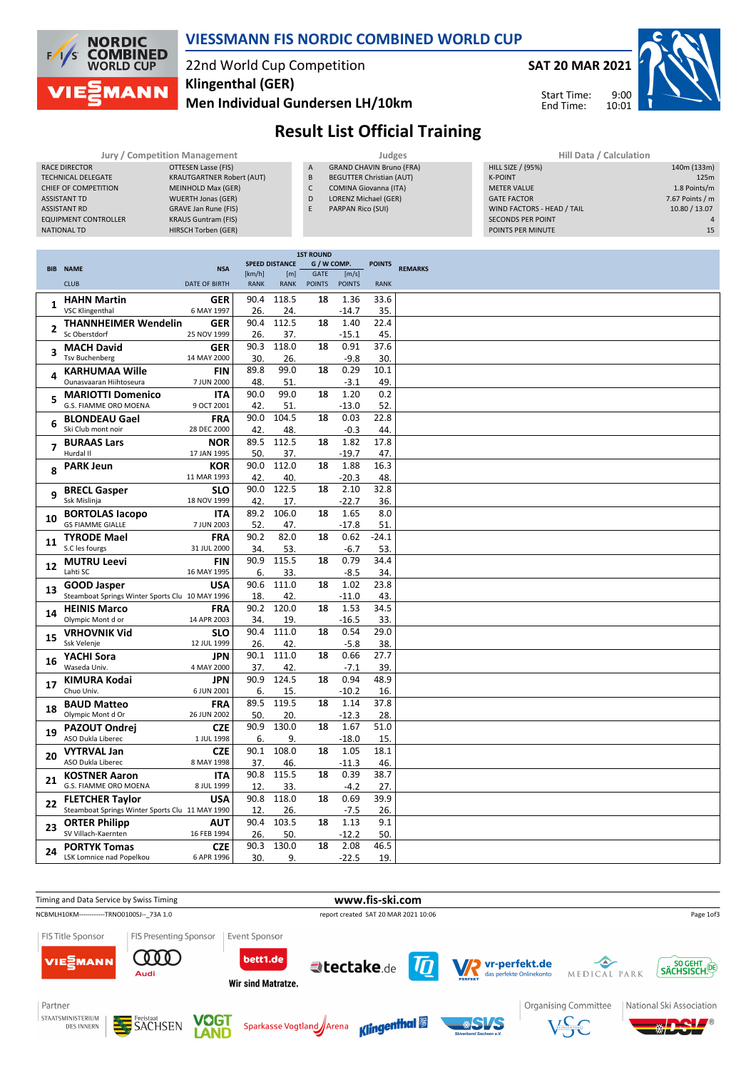

#### **VIESSMANN FIS NORDIC COMBINED WORLD CUP**

## 22nd World Cup Competition **Klingenthal (GER)**

**Men Individual Gundersen LH/10km**



9:00 10:01 Start Time: End Time:



# **Result List Official Training**

| <b>Jury / Competition Management</b> |                                  |  |  |  |  |  |  |  |  |
|--------------------------------------|----------------------------------|--|--|--|--|--|--|--|--|
| <b>RACE DIRECTOR</b>                 | OTTESEN Lasse (FIS)              |  |  |  |  |  |  |  |  |
| <b>TECHNICAL DELEGATE</b>            | <b>KRAUTGARTNER Robert (AUT)</b> |  |  |  |  |  |  |  |  |
| <b>CHIEF OF COMPETITION</b>          | <b>MEINHOLD Max (GER)</b>        |  |  |  |  |  |  |  |  |
| <b>ASSISTANT TD</b>                  | <b>WUERTH Jonas (GER)</b>        |  |  |  |  |  |  |  |  |
| <b>ASSISTANT RD</b>                  | <b>GRAVE Jan Rune (FIS)</b>      |  |  |  |  |  |  |  |  |
| <b>EQUIPMENT CONTROLLER</b>          | <b>KRAUS Guntram (FIS)</b>       |  |  |  |  |  |  |  |  |
| <b>NATIONAL TD</b>                   | HIRSCH Torben (GER)              |  |  |  |  |  |  |  |  |

GRAND CHAVIN Bruno (FRA) B BEGUTTER Christian (AUT) C COMINA Giovanna (ITA) D LORENZ Michael (GER)

E PARPAN Rico (SUI)

Judges **Jury 1988** Hill Data / Calculation **A** GRAND CHAVIN Bruno (FRA) **HILL SIZE** / (95%) HILL SIZE / (95%) 140m (133m) K-POINT **125m** METER VALUE 1.8 Points/m GATE FACTOR 7.67 Points / m<br>WIND FACTORS - HEAD / TAIL 10.80 / 13.07 WIND FACTORS - HEAD / TAIL SECONDS PER POINT 4<br>
POINTS PER MINUTE 15 POINTS PER MINUTE

|                |                                                                       |                           |             | <b>1ST ROUND</b>      |                            |                 |               |                |
|----------------|-----------------------------------------------------------------------|---------------------------|-------------|-----------------------|----------------------------|-----------------|---------------|----------------|
|                | <b>BIB NAME</b>                                                       | <b>NSA</b>                | [km/h]      | <b>SPEED DISTANCE</b> | G / W COMP.<br><b>GATE</b> | [m/s]           | <b>POINTS</b> | <b>REMARKS</b> |
|                | <b>CLUB</b>                                                           | <b>DATE OF BIRTH</b>      | <b>RANK</b> | [m]<br><b>RANK</b>    | <b>POINTS</b>              | <b>POINTS</b>   | <b>RANK</b>   |                |
|                | <b>HAHN Martin</b>                                                    | <b>GER</b>                | 90.4        | 118.5                 | 18                         | 1.36            | 33.6          |                |
| 1              | <b>VSC Klingenthal</b>                                                | 6 MAY 1997                | 26.         | 24.                   |                            | $-14.7$         | 35.           |                |
|                | <b>THANNHEIMER Wendelin</b>                                           | <b>GER</b>                | 90.4        | 112.5                 | 18                         | 1.40            | 22.4          |                |
| $\overline{2}$ | Sc Oberstdorf                                                         | 25 NOV 1999               | 26.         | 37.                   |                            | $-15.1$         | 45.           |                |
| 3              | <b>MACH David</b>                                                     | <b>GER</b>                | 90.3        | 118.0                 | 18                         | 0.91            | 37.6          |                |
|                | <b>Tsv Buchenberg</b>                                                 | 14 MAY 2000               | 30.         | 26.                   |                            | $-9.8$          | 30.           |                |
| 4              | <b>KARHUMAA Wille</b>                                                 | <b>FIN</b>                | 89.8        | 99.0                  | 18                         | 0.29            | 10.1          |                |
|                | Ounasvaaran Hiihtoseura                                               | 7 JUN 2000                | 48.         | 51.                   |                            | $-3.1$          | 49.           |                |
| 5              | <b>MARIOTTI Domenico</b>                                              | <b>ITA</b>                | 90.0        | 99.0                  | 18                         | 1.20            | 0.2           |                |
|                | G.S. FIAMME ORO MOENA                                                 | 9 OCT 2001                | 42.<br>90.0 | 51.<br>104.5          |                            | $-13.0$<br>0.03 | 52.<br>22.8   |                |
| 6              | <b>BLONDEAU Gael</b><br>Ski Club mont noir                            | <b>FRA</b><br>28 DEC 2000 | 42.         | 48.                   | 18                         | $-0.3$          | 44.           |                |
|                |                                                                       | <b>NOR</b>                | 89.5        | 112.5                 | 18                         | 1.82            | 17.8          |                |
| 7              | <b>BURAAS Lars</b><br>Hurdal II                                       | 17 JAN 1995               | 50.         | 37.                   |                            | $-19.7$         | 47.           |                |
|                | <b>PARK Jeun</b>                                                      | <b>KOR</b>                | 90.0        | 112.0                 | 18                         | 1.88            | 16.3          |                |
| 8              |                                                                       | 11 MAR 1993               | 42.         | 40.                   |                            | $-20.3$         | 48.           |                |
| 9              | <b>BRECL Gasper</b>                                                   | <b>SLO</b>                | 90.0        | 122.5                 | 18                         | 2.10            | 32.8          |                |
|                | Ssk Mislinja                                                          | 18 NOV 1999               | 42.         | 17.                   |                            | $-22.7$         | 36.           |                |
| 10             | <b>BORTOLAS lacopo</b>                                                | <b>ITA</b>                | 89.2        | 106.0                 | 18                         | 1.65            | 8.0           |                |
|                | <b>GS FIAMME GIALLE</b>                                               | 7 JUN 2003                | 52.         | 47.                   |                            | $-17.8$         | 51.           |                |
| 11             | <b>TYRODE Mael</b>                                                    | <b>FRA</b>                | 90.2        | 82.0                  | 18                         | 0.62            | $-24.1$       |                |
|                | S.C les fourgs                                                        | 31 JUL 2000               | 34.         | 53.                   |                            | -6.7            | 53.           |                |
| 12             | <b>MUTRU Leevi</b>                                                    | <b>FIN</b>                | 90.9        | 115.5                 | 18                         | 0.79            | 34.4          |                |
|                | Lahti SC                                                              | 16 MAY 1995               | 6.          | 33.<br>111.0          |                            | $-8.5$          | 34.           |                |
| 13             | <b>GOOD Jasper</b><br>Steamboat Springs Winter Sports Clu 10 MAY 1996 | <b>USA</b>                | 90.6<br>18. | 42.                   | 18                         | 1.02<br>$-11.0$ | 23.8<br>43.   |                |
|                | <b>HEINIS Marco</b>                                                   | <b>FRA</b>                | 90.2        | 120.0                 | 18                         | 1.53            | 34.5          |                |
| 14             | Olympic Mont d or                                                     | 14 APR 2003               | 34.         | 19.                   |                            | $-16.5$         | 33.           |                |
|                | <b>VRHOVNIK Vid</b>                                                   | <b>SLO</b>                | 90.4        | 111.0                 | 18                         | 0.54            | 29.0          |                |
| 15             | Ssk Velenje                                                           | 12 JUL 1999               | 26.         | 42.                   |                            | $-5.8$          | 38.           |                |
|                | YACHI Sora                                                            | <b>JPN</b>                | 90.1        | 111.0                 | 18                         | 0.66            | 27.7          |                |
| 16             | Waseda Univ.                                                          | 4 MAY 2000                | 37.         | 42.                   |                            | $-7.1$          | 39.           |                |
| 17             | <b>KIMURA Kodai</b>                                                   | <b>JPN</b>                | 90.9        | 124.5                 | 18                         | 0.94            | 48.9          |                |
|                | Chuo Univ.                                                            | 6 JUN 2001                | 6.          | 15.                   |                            | $-10.2$         | 16.           |                |
| 18             | <b>BAUD Matteo</b>                                                    | <b>FRA</b>                | 89.5        | 119.5                 | 18                         | 1.14            | 37.8          |                |
|                | Olympic Mont d Or                                                     | 26 JUN 2002               | 50.         | 20.                   |                            | $-12.3$         | 28.           |                |
| 19             | <b>PAZOUT Ondrej</b><br>ASO Dukla Liberec                             | <b>CZE</b>                | 90.9        | 130.0                 | 18                         | 1.67            | 51.0          |                |
|                |                                                                       | 1 JUL 1998                | 6.<br>90.1  | 9.<br>108.0           | 18                         | $-18.0$         | 15.           |                |
| 20             | <b>VYTRVAL Jan</b><br>ASO Dukla Liberec                               | <b>CZE</b><br>8 MAY 1998  | 37.         | 46.                   |                            | 1.05<br>$-11.3$ | 18.1<br>46.   |                |
|                | <b>KOSTNER Aaron</b>                                                  | <b>ITA</b>                | 90.8        | 115.5                 | 18                         | 0.39            | 38.7          |                |
| 21             | G.S. FIAMME ORO MOENA                                                 | 8 JUL 1999                | 12.         | 33.                   |                            | $-4.2$          | 27.           |                |
|                | <b>FLETCHER Taylor</b>                                                | <b>USA</b>                | 90.8        | 118.0                 | 18                         | 0.69            | 39.9          |                |
| 22             | Steamboat Springs Winter Sports Clu 11 MAY 1990                       |                           | 12.         | 26.                   |                            | $-7.5$          | 26.           |                |
|                | <b>ORTER Philipp</b>                                                  | <b>AUT</b>                | 90.4        | 103.5                 | 18                         | 1.13            | 9.1           |                |
| 23             | SV Villach-Kaernten                                                   | 16 FEB 1994               | 26.         | 50.                   |                            | $-12.2$         | 50.           |                |
| 24             | <b>PORTYK Tomas</b>                                                   | <b>CZE</b>                | 90.3        | 130.0                 | 18                         | 2.08            | 46.5          |                |
|                | LSK Lomnice nad Popelkou                                              | 6 APR 1996                | 30.         | 9.                    |                            | $-22.5$         | 19.           |                |

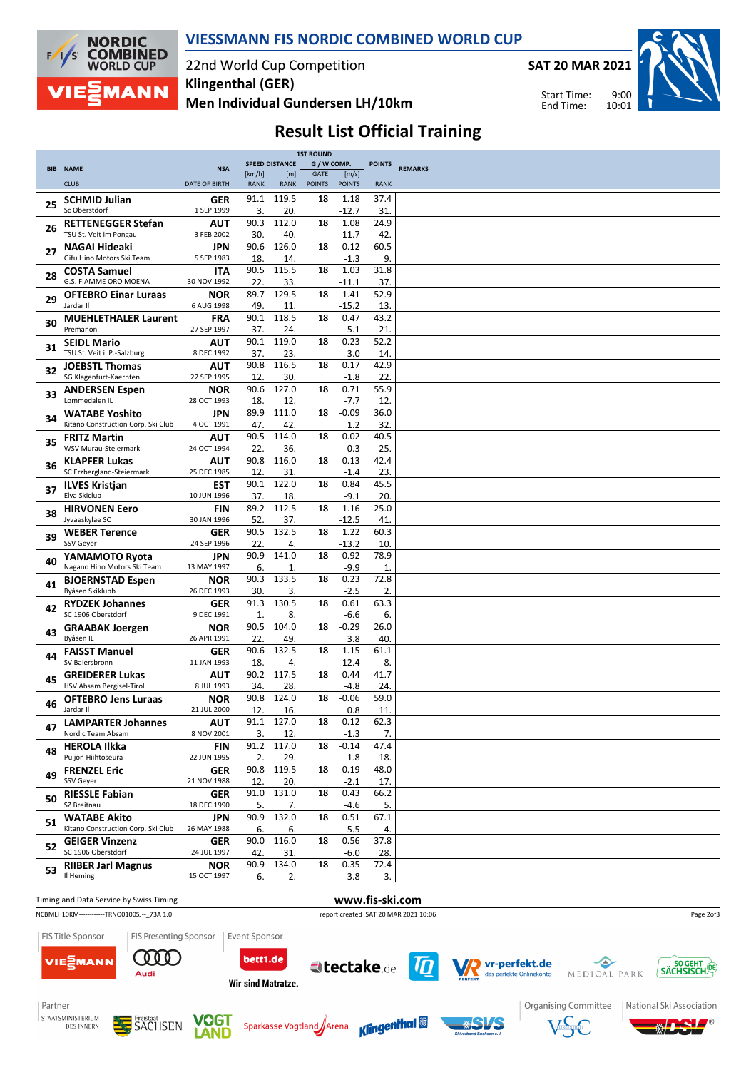

**VIESSMANN FIS NORDIC COMBINED WORLD CUP**

22nd World Cup Competition **Men Individual Gundersen LH/10km Klingenthal (GER)**

**SAT 20 MAR 2021**

Start Time: End Time:



### **Result List Official Training**

|    |                                          |                           |             | <b>1ST ROUND</b>      |               |               |               |                |
|----|------------------------------------------|---------------------------|-------------|-----------------------|---------------|---------------|---------------|----------------|
|    | <b>BIB NAME</b>                          | <b>NSA</b>                |             | <b>SPEED DISTANCE</b> | G / W COMP.   |               | <b>POINTS</b> | <b>REMARKS</b> |
|    |                                          |                           | [km/h]      | [m]                   | GATE          | [m/s]         |               |                |
|    | <b>CLUB</b>                              | <b>DATE OF BIRTH</b>      | <b>RANK</b> | <b>RANK</b>           | <b>POINTS</b> | <b>POINTS</b> | <b>RANK</b>   |                |
| 25 | <b>SCHMID Julian</b>                     | GER                       | 91.1        | 119.5                 | 18            | 1.18          | 37.4          |                |
|    | Sc Oberstdorf                            | 1 SEP 1999                | 3.          | 20.                   |               | $-12.7$       | 31.           |                |
|    | <b>RETTENEGGER Stefan</b>                | AUT                       | 90.3        | 112.0                 | 18            | 1.08          | 24.9          |                |
| 26 | TSU St. Veit im Pongau                   | 3 FEB 2002                | 30.         | 40.                   |               | $-11.7$       | 42.           |                |
|    | NAGAI Hideaki                            | <b>JPN</b>                | 90.6        | 126.0                 | 18            | 0.12          | 60.5          |                |
| 27 | Gifu Hino Motors Ski Team                | 5 SEP 1983                | 18.         | 14.                   |               | $-1.3$        | 9.            |                |
|    | <b>COSTA Samuel</b>                      | <b>ITA</b>                | 90.5        | 115.5                 | 18            | 1.03          | 31.8          |                |
| 28 | G.S. FIAMME ORO MOENA                    | 30 NOV 1992               | 22          | 33.                   |               | $-11.1$       | 37.           |                |
|    |                                          | <b>NOR</b>                | 89.7        | 129.5                 | 18            | 1.41          | 52.9          |                |
| 29 | <b>OFTEBRO Einar Luraas</b><br>Jardar II | 6 AUG 1998                | 49.         | 11.                   |               | $-15.2$       | 13.           |                |
|    |                                          |                           | 90.1        | 118.5                 | 18            | 0.47          | 43.2          |                |
| 30 | <b>MUEHLETHALER Laurent</b><br>Premanon  | <b>FRA</b>                |             |                       |               |               |               |                |
|    |                                          | 27 SEP 1997               | 37.         | 24.                   |               | $-5.1$        | 21.           |                |
| 31 | <b>SEIDL Mario</b>                       | <b>AUT</b>                | 90.1        | 119.0                 | 18            | $-0.23$       | 52.2          |                |
|    | TSU St. Veit i. P.-Salzburg              | 8 DEC 1992                | 37.         | 23.                   |               | 3.0           | 14.           |                |
| 32 | <b>JOEBSTL Thomas</b>                    | <b>AUT</b>                | 90.8        | 116.5                 | 18            | 0.17          | 42.9          |                |
|    | SG Klagenfurt-Kaernten                   | 22 SEP 1995               | 12.         | 30.                   |               | $-1.8$        | 22.           |                |
| 33 | <b>ANDERSEN Espen</b>                    | <b>NOR</b>                | 90.6        | 127.0                 | 18            | 0.71          | 55.9          |                |
|    | Lommedalen IL                            | 28 OCT 1993               | 18.         | 12.                   |               | $-7.7$        | 12.           |                |
|    | <b>WATABE Yoshito</b>                    | <b>JPN</b>                | 89.9        | 111.0                 | 18            | $-0.09$       | 36.0          |                |
| 34 | Kitano Construction Corp. Ski Club       | 4 OCT 1991                | 47.         | 42.                   |               | 1.2           | 32.           |                |
|    | <b>FRITZ Martin</b>                      | AUT                       | 90.5        | 114.0                 | 18            | $-0.02$       | 40.5          |                |
| 35 | WSV Murau-Steiermark                     | 24 OCT 1994               | 22.         | 36.                   |               | 0.3           | 25.           |                |
|    | <b>KLAPFER Lukas</b>                     | AUT                       | 90.8        | 116.0                 | 18            | 0.13          | 42.4          |                |
| 36 | SC Erzbergland-Steiermark                | 25 DEC 1985               | 12.         | 31.                   |               | $-1.4$        | 23.           |                |
|    | <b>ILVES Kristjan</b>                    | <b>EST</b>                | 90.1        | 122.0                 | 18            | 0.84          | 45.5          |                |
| 37 | Elva Skiclub                             | 10 JUN 1996               | 37.         | 18.                   |               | $-9.1$        | 20.           |                |
|    |                                          |                           | 89.2        | 112.5                 | 18            | 1.16          | 25.0          |                |
| 38 | <b>HIRVONEN Eero</b><br>Jyvaeskylae SC   | <b>FIN</b><br>30 JAN 1996 |             |                       |               |               |               |                |
|    |                                          |                           | 52.         | 37.                   |               | $-12.5$       | 41.           |                |
| 39 | <b>WEBER Terence</b>                     | <b>GER</b>                | 90.5        | 132.5                 | 18            | 1.22          | 60.3          |                |
|    | SSV Geyer                                | 24 SEP 1996               | 22.         | 4.                    |               | $-13.2$       | 10.           |                |
| 40 | YAMAMOTO Ryota                           | JPN                       | 90.9        | 141.0                 | 18            | 0.92          | 78.9          |                |
|    | Nagano Hino Motors Ski Team              | 13 MAY 1997               | 6.          | 1.                    |               | $-9.9$        | 1.            |                |
| 41 | <b>BJOERNSTAD Espen</b>                  | <b>NOR</b>                | 90.3        | 133.5                 | 18            | 0.23          | 72.8          |                |
|    | Byåsen Skiklubb                          | 26 DEC 1993               | 30.         | 3.                    |               | $-2.5$        | 2.            |                |
| 42 | <b>RYDZEK Johannes</b>                   | <b>GER</b>                | 91.3        | 130.5                 | 18            | 0.61          | 63.3          |                |
|    | SC 1906 Oberstdorf                       | 9 DEC 1991                | 1.          | 8.                    |               | $-6.6$        | 6.            |                |
| 43 | <b>GRAABAK Joergen</b>                   | <b>NOR</b>                | 90.5        | 104.0                 | 18            | $-0.29$       | 26.0          |                |
|    | Byåsen IL                                | 26 APR 1991               | 22.         | 49.                   |               | 3.8           | 40.           |                |
| 44 | <b>FAISST Manuel</b>                     | <b>GER</b>                | 90.6        | 132.5                 | 18            | 1.15          | 61.1          |                |
|    | SV Baiersbronn                           | 11 JAN 1993               | 18.         | 4.                    |               | $-12.4$       | 8.            |                |
|    | <b>GREIDERER Lukas</b>                   | AUT                       | 90.2        | 117.5                 | 18            | 0.44          | 41.7          |                |
| 45 | HSV Absam Bergisel-Tirol                 | 8 JUL 1993                | 34.         | 28.                   |               | $-4.8$        | 24.           |                |
|    | <b>OFTEBRO Jens Luraas</b>               | <b>NOR</b>                | 90.8        | 124.0                 | 18            | $-0.06$       | 59.0          |                |
| 46 | Jardar II                                | 21 JUL 2000               | 12.         | 16.                   |               | 0.8           | 11.           |                |
|    | <b>LAMPARTER Johannes</b>                | <b>AUT</b>                |             | 91.1 127.0            | 18            | 0.12          | 62.3          |                |
| 47 | Nordic Team Absam                        | 8 NOV 2001                | 3.          | 12.                   |               | $-1.3$        | 7.            |                |
|    | <b>HEROLA Ilkka</b>                      | <b>FIN</b>                |             | 91.2 117.0            | 18            | $-0.14$       | 47.4          |                |
| 48 | Puijon Hiihtoseura                       | 22 JUN 1995               | 2.          | 29.                   |               | 1.8           | 18.           |                |
|    | <b>FRENZEL Eric</b>                      |                           | 90.8        | 119.5                 | 18            | 0.19          | 48.0          |                |
| 49 | SSV Geyer                                | GER<br>21 NOV 1988        | 12.         |                       |               | $-2.1$        | 17.           |                |
|    |                                          |                           | 91.0        | 20.<br>131.0          | 18            | 0.43          | 66.2          |                |
| 50 | <b>RIESSLE Fabian</b><br>SZ Breitnau     | <b>GER</b>                |             |                       |               |               |               |                |
|    |                                          | 18 DEC 1990               | 5.          | 7.                    |               | -4.6          | 5.            |                |
| 51 | <b>WATABE Akito</b>                      | <b>JPN</b>                | 90.9        | 132.0                 | 18            | 0.51          | 67.1          |                |
|    | Kitano Construction Corp. Ski Club       | 26 MAY 1988               | 6.          | 6.                    |               | $-5.5$        | 4.            |                |
| 52 | <b>GEIGER Vinzenz</b>                    | <b>GER</b>                | 90.0        | 116.0                 | 18            | 0.56          | 37.8          |                |
|    | SC 1906 Oberstdorf                       | 24 JUL 1997               | 42.         | 31.                   |               | $-6.0$        | 28.           |                |
| 53 | <b>RIIBER Jarl Magnus</b>                | <b>NOR</b>                | 90.9        | 134.0                 | 18            | 0.35          | 72.4          |                |
|    | Il Heming                                | 15 OCT 1997               | 6.          | 2.                    |               | $-3.8$        | 3.            |                |

#### Timing and Data Service by Swiss Timing **www.fis-ski.com**



**COOD** 

Audi

tectake.de





Page 2of3

Partner



VIE<sub>E</sub>MANN





bett1.de

Wir sind Matratze.



 $\sqrt{\pi}$